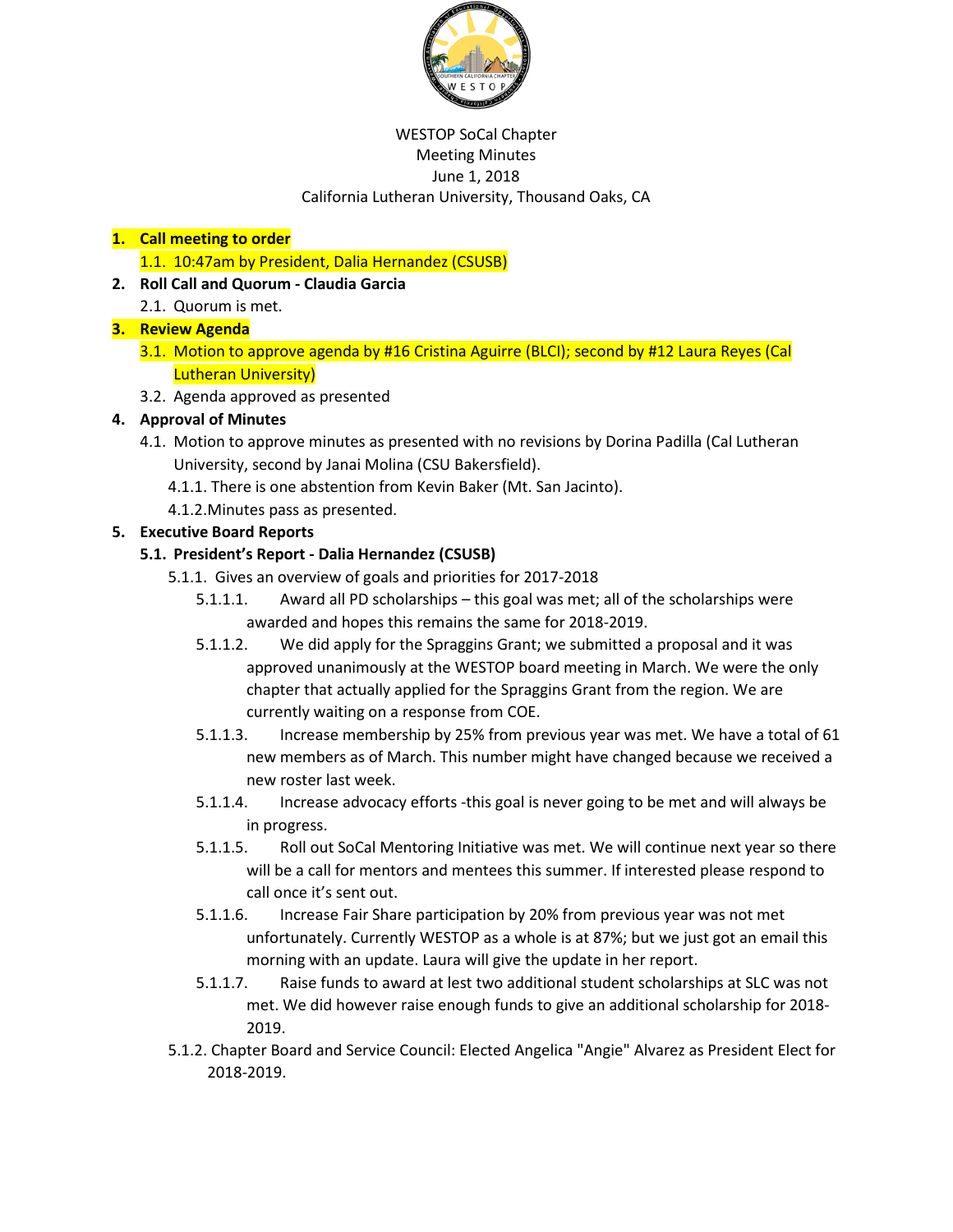

#### WESTOP SoCal Chapter Meeting Minutes June 1, 2018 California Lutheran University, Thousand Oaks, CA

## **1. Call meeting to order**

1.1. 10:47am by President, Dalia Hernandez (CSUSB)

## **2. Roll Call and Quorum - Claudia Garcia**

2.1. Quorum is met.

## **3. Review Agenda**

- 3.1. Motion to approve agenda by #16 Cristina Aguirre (BLCI); second by #12 Laura Reyes (Cal Lutheran University)
- 3.2. Agenda approved as presented

# **4. Approval of Minutes**

- 4.1. Motion to approve minutes as presented with no revisions by Dorina Padilla (Cal Lutheran University, second by Janai Molina (CSU Bakersfield).
	- 4.1.1. There is one abstention from Kevin Baker (Mt. San Jacinto).
	- 4.1.2.Minutes pass as presented.

# **5. Executive Board Reports**

## **5.1. President's Report - Dalia Hernandez (CSUSB)**

- 5.1.1. Gives an overview of goals and priorities for 2017-2018
	- 5.1.1.1. Award all PD scholarships this goal was met; all of the scholarships were awarded and hopes this remains the same for 2018-2019.
	- 5.1.1.2. We did apply for the Spraggins Grant; we submitted a proposal and it was approved unanimously at the WESTOP board meeting in March. We were the only chapter that actually applied for the Spraggins Grant from the region. We are currently waiting on a response from COE.
	- 5.1.1.3. Increase membership by 25% from previous year was met. We have a total of 61 new members as of March. This number might have changed because we received a new roster last week.
	- 5.1.1.4. Increase advocacy efforts -this goal is never going to be met and will always be in progress.
	- 5.1.1.5. Roll out SoCal Mentoring Initiative was met. We will continue next year so there will be a call for mentors and mentees this summer. If interested please respond to call once it's sent out.
	- 5.1.1.6. Increase Fair Share participation by 20% from previous year was not met unfortunately. Currently WESTOP as a whole is at 87%; but we just got an email this morning with an update. Laura will give the update in her report.
	- 5.1.1.7. Raise funds to award at lest two additional student scholarships at SLC was not met. We did however raise enough funds to give an additional scholarship for 2018- 2019.
- 5.1.2. Chapter Board and Service Council: Elected Angelica "Angie" Alvarez as President Elect for 2018-2019.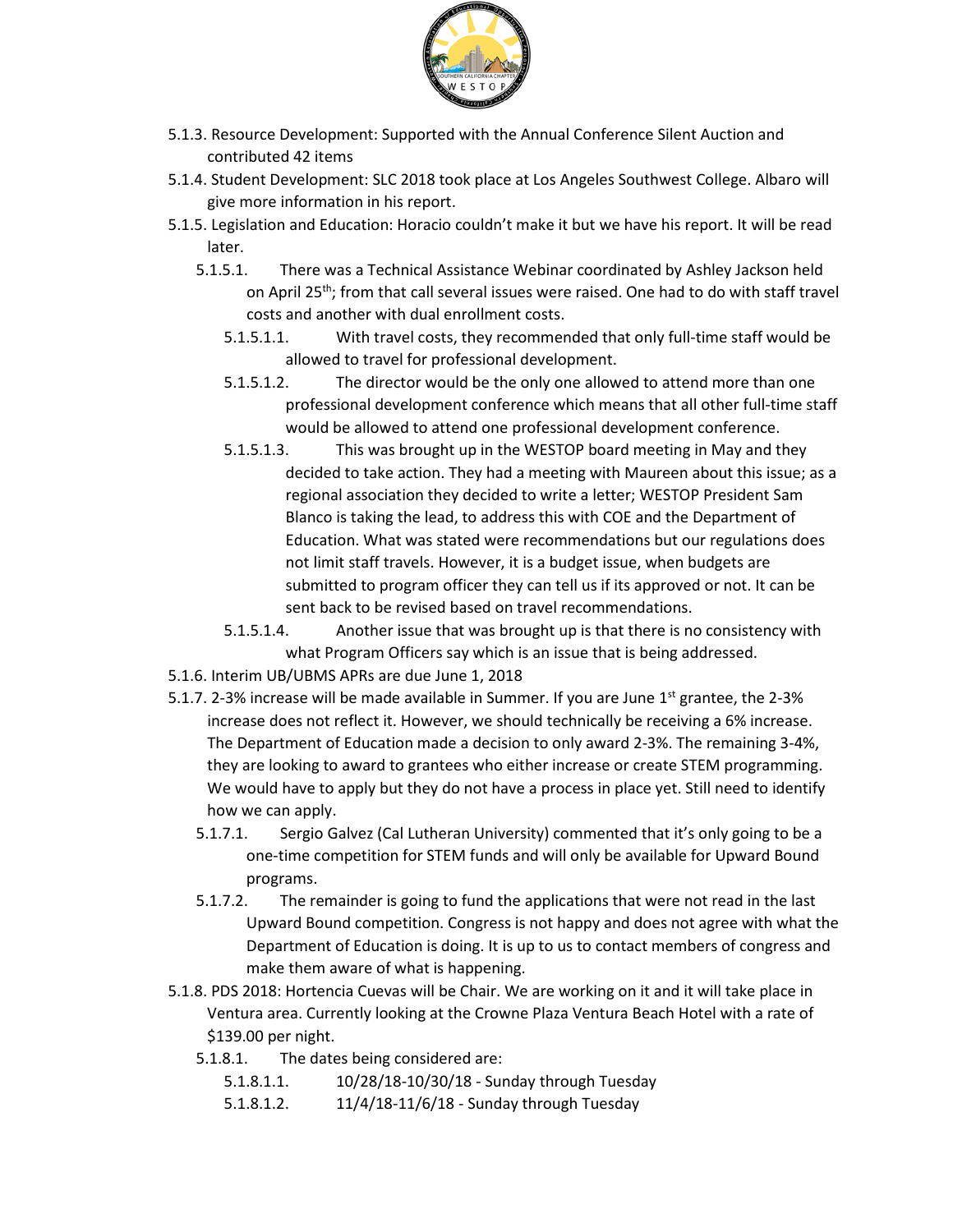

- 5.1.3. Resource Development: Supported with the Annual Conference Silent Auction and contributed 42 items
- 5.1.4. Student Development: SLC 2018 took place at Los Angeles Southwest College. Albaro will give more information in his report.
- 5.1.5. Legislation and Education: Horacio couldn't make it but we have his report. It will be read later.
	- 5.1.5.1. There was a Technical Assistance Webinar coordinated by Ashley Jackson held on April 25<sup>th</sup>; from that call several issues were raised. One had to do with staff travel costs and another with dual enrollment costs.
		- 5.1.5.1.1. With travel costs, they recommended that only full-time staff would be allowed to travel for professional development.
		- 5.1.5.1.2. The director would be the only one allowed to attend more than one professional development conference which means that all other full-time staff would be allowed to attend one professional development conference.
		- 5.1.5.1.3. This was brought up in the WESTOP board meeting in May and they decided to take action. They had a meeting with Maureen about this issue; as a regional association they decided to write a letter; WESTOP President Sam Blanco is taking the lead, to address this with COE and the Department of Education. What was stated were recommendations but our regulations does not limit staff travels. However, it is a budget issue, when budgets are submitted to program officer they can tell us if its approved or not. It can be sent back to be revised based on travel recommendations.
		- 5.1.5.1.4. Another issue that was brought up is that there is no consistency with what Program Officers say which is an issue that is being addressed.
- 5.1.6. Interim UB/UBMS APRs are due June 1, 2018
- 5.1.7. 2-3% increase will be made available in Summer. If you are June  $1<sup>st</sup>$  grantee, the 2-3% increase does not reflect it. However, we should technically be receiving a 6% increase. The Department of Education made a decision to only award 2-3%. The remaining 3-4%, they are looking to award to grantees who either increase or create STEM programming. We would have to apply but they do not have a process in place yet. Still need to identify how we can apply.
	- 5.1.7.1. Sergio Galvez (Cal Lutheran University) commented that it's only going to be a one-time competition for STEM funds and will only be available for Upward Bound programs.
	- 5.1.7.2. The remainder is going to fund the applications that were not read in the last Upward Bound competition. Congress is not happy and does not agree with what the Department of Education is doing. It is up to us to contact members of congress and make them aware of what is happening.
- 5.1.8. PDS 2018: Hortencia Cuevas will be Chair. We are working on it and it will take place in Ventura area. Currently looking at the Crowne Plaza Ventura Beach Hotel with a rate of \$139.00 per night.
	- 5.1.8.1. The dates being considered are:
		- 5.1.8.1.1. 10/28/18-10/30/18 Sunday through Tuesday
		- 5.1.8.1.2. 11/4/18-11/6/18 Sunday through Tuesday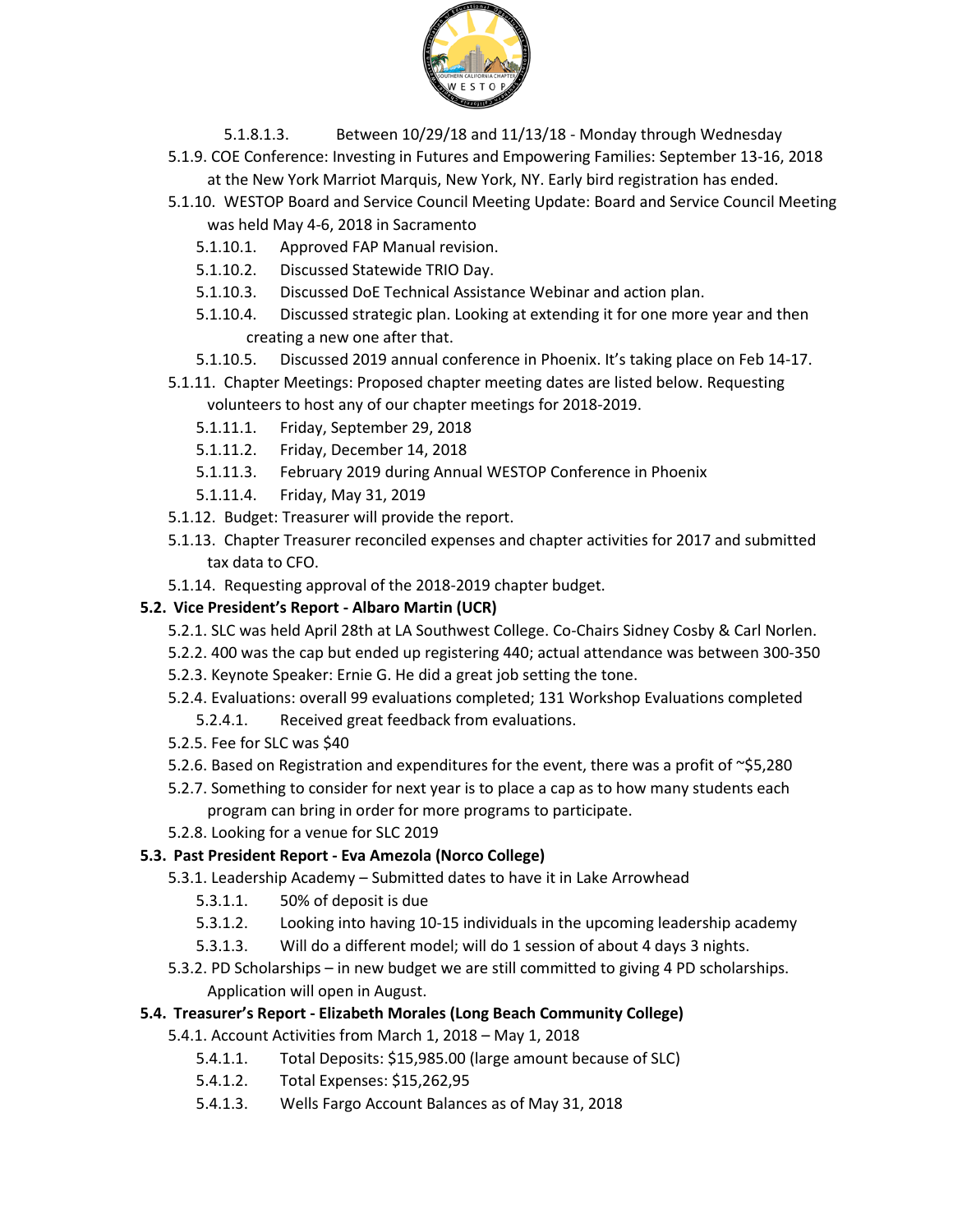

- 5.1.8.1.3. Between 10/29/18 and 11/13/18 Monday through Wednesday
- 5.1.9. COE Conference: Investing in Futures and Empowering Families: September 13-16, 2018 at the New York Marriot Marquis, New York, NY. Early bird registration has ended.
- 5.1.10. WESTOP Board and Service Council Meeting Update: Board and Service Council Meeting was held May 4-6, 2018 in Sacramento
	- 5.1.10.1. Approved FAP Manual revision.
	- 5.1.10.2. Discussed Statewide TRIO Day.
	- 5.1.10.3. Discussed DoE Technical Assistance Webinar and action plan.
	- 5.1.10.4. Discussed strategic plan. Looking at extending it for one more year and then creating a new one after that.
	- 5.1.10.5. Discussed 2019 annual conference in Phoenix. It's taking place on Feb 14-17.
- 5.1.11. Chapter Meetings: Proposed chapter meeting dates are listed below. Requesting volunteers to host any of our chapter meetings for 2018-2019.
	- 5.1.11.1. Friday, September 29, 2018
	- 5.1.11.2. Friday, December 14, 2018
	- 5.1.11.3. February 2019 during Annual WESTOP Conference in Phoenix
	- 5.1.11.4. Friday, May 31, 2019
- 5.1.12. Budget: Treasurer will provide the report.
- 5.1.13. Chapter Treasurer reconciled expenses and chapter activities for 2017 and submitted tax data to CFO.
- 5.1.14. Requesting approval of the 2018-2019 chapter budget.

## **5.2. Vice President's Report - Albaro Martin (UCR)**

- 5.2.1. SLC was held April 28th at LA Southwest College. Co-Chairs Sidney Cosby & Carl Norlen.
- 5.2.2. 400 was the cap but ended up registering 440; actual attendance was between 300-350
- 5.2.3. Keynote Speaker: Ernie G. He did a great job setting the tone.
- 5.2.4. Evaluations: overall 99 evaluations completed; 131 Workshop Evaluations completed 5.2.4.1. Received great feedback from evaluations.
- 5.2.5. Fee for SLC was \$40
- 5.2.6. Based on Registration and expenditures for the event, there was a profit of  $\sim$ \$5,280
- 5.2.7. Something to consider for next year is to place a cap as to how many students each program can bring in order for more programs to participate.
- 5.2.8. Looking for a venue for SLC 2019

# **5.3. Past President Report - Eva Amezola (Norco College)**

- 5.3.1. Leadership Academy Submitted dates to have it in Lake Arrowhead
	- 5.3.1.1. 50% of deposit is due
	- 5.3.1.2. Looking into having 10-15 individuals in the upcoming leadership academy
	- 5.3.1.3. Will do a different model; will do 1 session of about 4 days 3 nights.
- 5.3.2. PD Scholarships in new budget we are still committed to giving 4 PD scholarships. Application will open in August.

# **5.4. Treasurer's Report - Elizabeth Morales (Long Beach Community College)**

- 5.4.1. Account Activities from March 1, 2018 May 1, 2018
	- 5.4.1.1. Total Deposits: \$15,985.00 (large amount because of SLC)
	- 5.4.1.2. Total Expenses: \$15,262,95
	- 5.4.1.3. Wells Fargo Account Balances as of May 31, 2018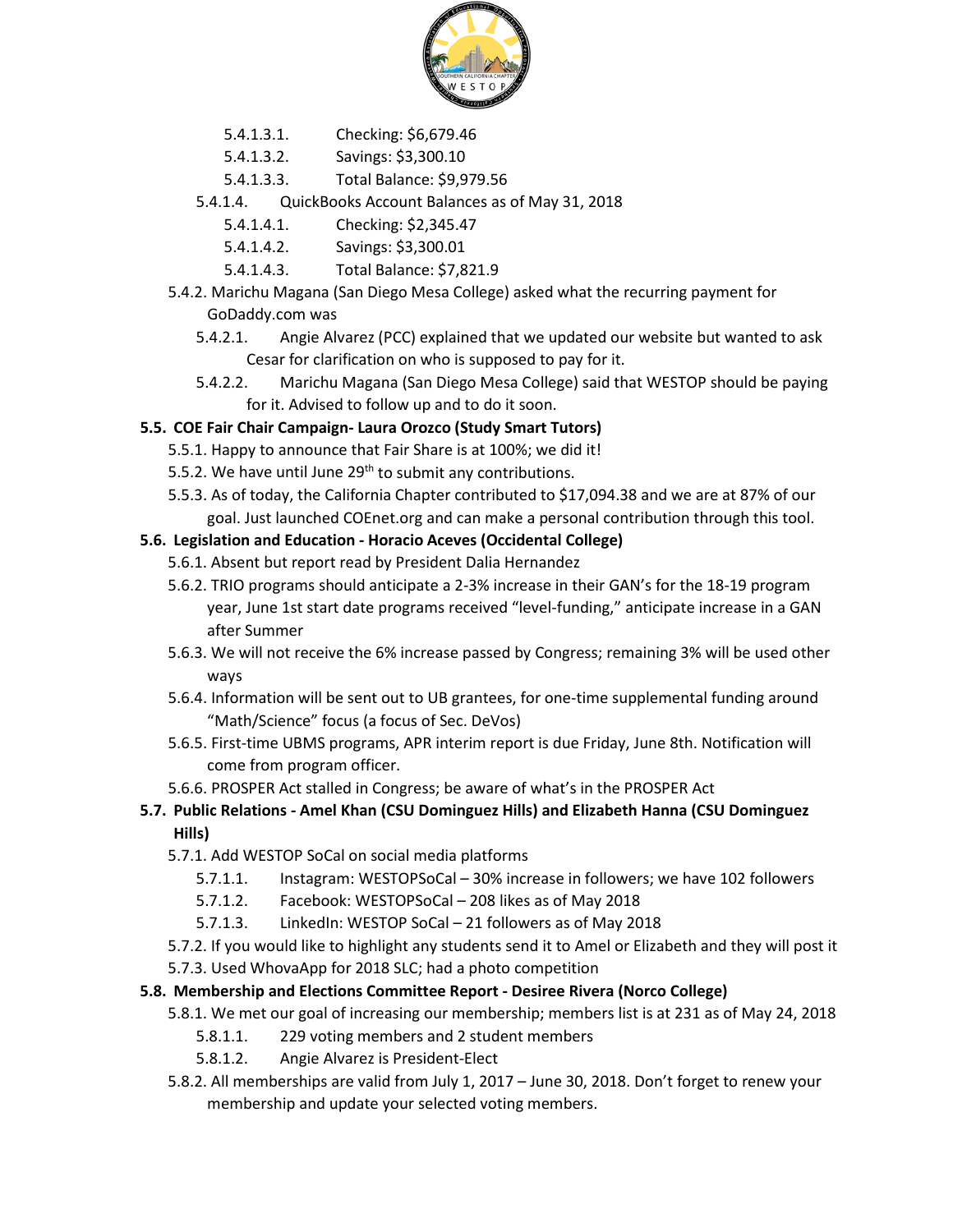

- 5.4.1.3.1. Checking: \$6,679.46
- 5.4.1.3.2. Savings: \$3,300.10
- 5.4.1.3.3. Total Balance: \$9,979.56
- 5.4.1.4. QuickBooks Account Balances as of May 31, 2018
	- 5.4.1.4.1. Checking: \$2,345.47
	- 5.4.1.4.2. Savings: \$3,300.01
	- 5.4.1.4.3. Total Balance: \$7,821.9
- 5.4.2. Marichu Magana (San Diego Mesa College) asked what the recurring payment for GoDaddy.com was
	- 5.4.2.1. Angie Alvarez (PCC) explained that we updated our website but wanted to ask Cesar for clarification on who is supposed to pay for it.
	- 5.4.2.2. Marichu Magana (San Diego Mesa College) said that WESTOP should be paying for it. Advised to follow up and to do it soon.

#### **5.5. COE Fair Chair Campaign- Laura Orozco (Study Smart Tutors)**

- 5.5.1. Happy to announce that Fair Share is at 100%; we did it!
- 5.5.2. We have until June 29<sup>th</sup> to submit any contributions.
- 5.5.3. As of today, the California Chapter contributed to \$17,094.38 and we are at 87% of our goal. Just launched COEnet.org and can make a personal contribution through this tool.

#### **5.6. Legislation and Education - Horacio Aceves (Occidental College)**

- 5.6.1. Absent but report read by President Dalia Hernandez
- 5.6.2. TRIO programs should anticipate a 2-3% increase in their GAN's for the 18-19 program year, June 1st start date programs received "level-funding," anticipate increase in a GAN after Summer
- 5.6.3. We will not receive the 6% increase passed by Congress; remaining 3% will be used other ways
- 5.6.4. Information will be sent out to UB grantees, for one-time supplemental funding around "Math/Science" focus (a focus of Sec. DeVos)
- 5.6.5. First-time UBMS programs, APR interim report is due Friday, June 8th. Notification will come from program officer.
- 5.6.6. PROSPER Act stalled in Congress; be aware of what's in the PROSPER Act

#### **5.7. Public Relations - Amel Khan (CSU Dominguez Hills) and Elizabeth Hanna (CSU Dominguez Hills)**

- 5.7.1. Add WESTOP SoCal on social media platforms
	- 5.7.1.1. Instagram: WESTOPSoCal 30% increase in followers; we have 102 followers
	- 5.7.1.2. Facebook: WESTOPSoCal 208 likes as of May 2018
	- 5.7.1.3. LinkedIn: WESTOP SoCal 21 followers as of May 2018
- 5.7.2. If you would like to highlight any students send it to Amel or Elizabeth and they will post it
- 5.7.3. Used WhovaApp for 2018 SLC; had a photo competition

#### **5.8. Membership and Elections Committee Report - Desiree Rivera (Norco College)**

- 5.8.1. We met our goal of increasing our membership; members list is at 231 as of May 24, 2018
	- 5.8.1.1. 229 voting members and 2 student members
	- 5.8.1.2. Angie Alvarez is President-Elect
- 5.8.2. All memberships are valid from July 1, 2017 June 30, 2018. Don't forget to renew your membership and update your selected voting members.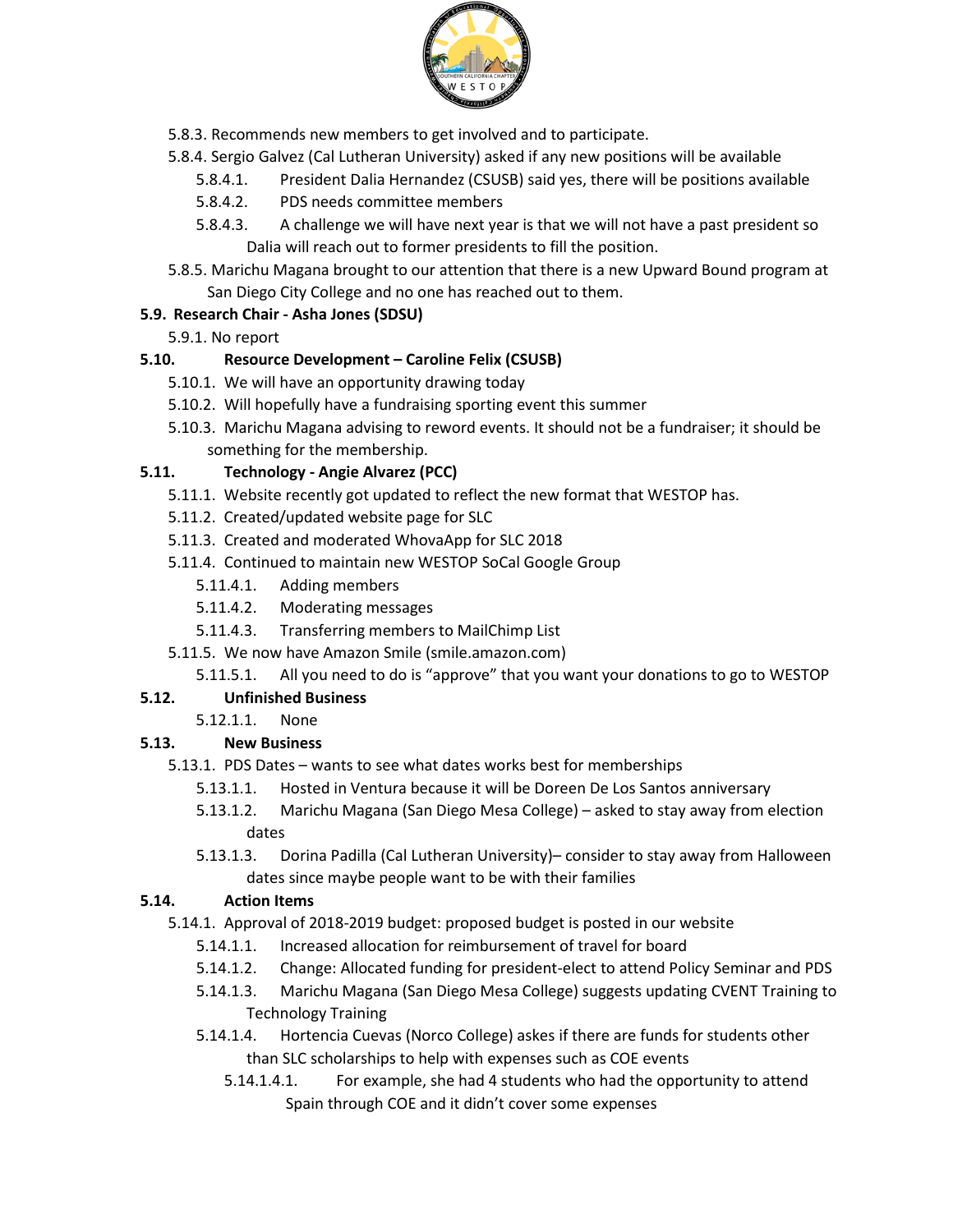

- 5.8.3. Recommends new members to get involved and to participate.
- 5.8.4. Sergio Galvez (Cal Lutheran University) asked if any new positions will be available
	- 5.8.4.1. President Dalia Hernandez (CSUSB) said yes, there will be positions available
	- 5.8.4.2. PDS needs committee members
	- 5.8.4.3. A challenge we will have next year is that we will not have a past president so Dalia will reach out to former presidents to fill the position.
- 5.8.5. Marichu Magana brought to our attention that there is a new Upward Bound program at San Diego City College and no one has reached out to them.

### **5.9. Research Chair - Asha Jones (SDSU)**

5.9.1. No report

### **5.10. Resource Development – Caroline Felix (CSUSB)**

- 5.10.1. We will have an opportunity drawing today
- 5.10.2. Will hopefully have a fundraising sporting event this summer
- 5.10.3. Marichu Magana advising to reword events. It should not be a fundraiser; it should be something for the membership.

## **5.11. Technology - Angie Alvarez (PCC)**

- 5.11.1. Website recently got updated to reflect the new format that WESTOP has.
- 5.11.2. Created/updated website page for SLC
- 5.11.3. Created and moderated WhovaApp for SLC 2018
- 5.11.4. Continued to maintain new WESTOP SoCal Google Group
	- 5.11.4.1. Adding members
	- 5.11.4.2. Moderating messages
	- 5.11.4.3. Transferring members to MailChimp List
- 5.11.5. We now have Amazon Smile (smile.amazon.com)
	- 5.11.5.1. All you need to do is "approve" that you want your donations to go to WESTOP

# **5.12. Unfinished Business**

5.12.1.1. None

# **5.13. New Business**

- 5.13.1. PDS Dates wants to see what dates works best for memberships
	- 5.13.1.1. Hosted in Ventura because it will be Doreen De Los Santos anniversary
	- 5.13.1.2. Marichu Magana (San Diego Mesa College) asked to stay away from election dates
	- 5.13.1.3. Dorina Padilla (Cal Lutheran University)– consider to stay away from Halloween dates since maybe people want to be with their families

### **5.14. Action Items**

- 5.14.1. Approval of 2018-2019 budget: proposed budget is posted in our website
	- 5.14.1.1. Increased allocation for reimbursement of travel for board
	- 5.14.1.2. Change: Allocated funding for president-elect to attend Policy Seminar and PDS
	- 5.14.1.3. Marichu Magana (San Diego Mesa College) suggests updating CVENT Training to Technology Training
	- 5.14.1.4. Hortencia Cuevas (Norco College) askes if there are funds for students other than SLC scholarships to help with expenses such as COE events
		- 5.14.1.4.1. For example, she had 4 students who had the opportunity to attend Spain through COE and it didn't cover some expenses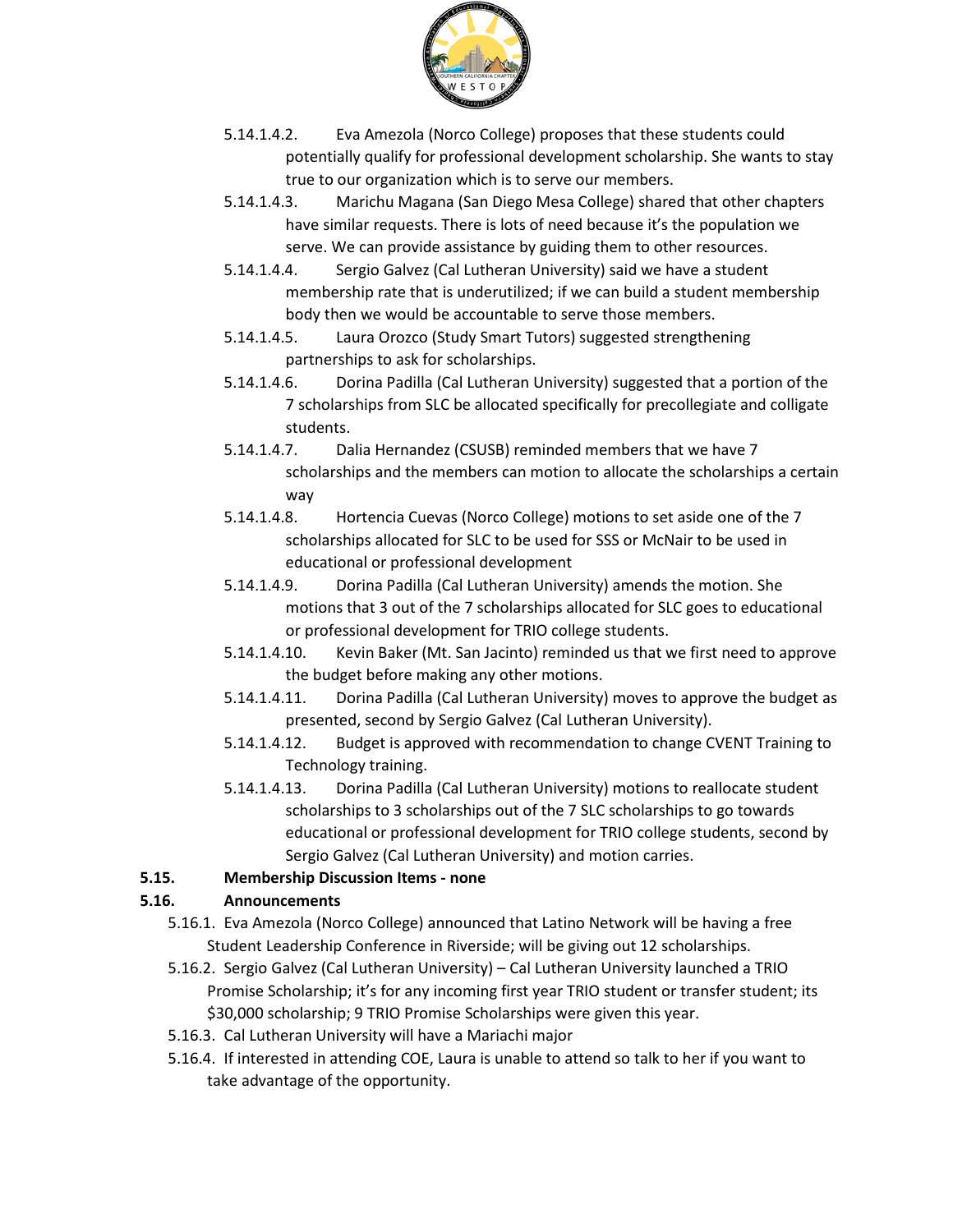

- 5.14.1.4.2. Eva Amezola (Norco College) proposes that these students could potentially qualify for professional development scholarship. She wants to stay true to our organization which is to serve our members.
- 5.14.1.4.3. Marichu Magana (San Diego Mesa College) shared that other chapters have similar requests. There is lots of need because it's the population we serve. We can provide assistance by guiding them to other resources.
- 5.14.1.4.4. Sergio Galvez (Cal Lutheran University) said we have a student membership rate that is underutilized; if we can build a student membership body then we would be accountable to serve those members.
- 5.14.1.4.5. Laura Orozco (Study Smart Tutors) suggested strengthening partnerships to ask for scholarships.
- 5.14.1.4.6. Dorina Padilla (Cal Lutheran University) suggested that a portion of the 7 scholarships from SLC be allocated specifically for precollegiate and colligate students.
- 5.14.1.4.7. Dalia Hernandez (CSUSB) reminded members that we have 7 scholarships and the members can motion to allocate the scholarships a certain way
- 5.14.1.4.8. Hortencia Cuevas (Norco College) motions to set aside one of the 7 scholarships allocated for SLC to be used for SSS or McNair to be used in educational or professional development
- 5.14.1.4.9. Dorina Padilla (Cal Lutheran University) amends the motion. She motions that 3 out of the 7 scholarships allocated for SLC goes to educational or professional development for TRIO college students.
- 5.14.1.4.10. Kevin Baker (Mt. San Jacinto) reminded us that we first need to approve the budget before making any other motions.
- 5.14.1.4.11. Dorina Padilla (Cal Lutheran University) moves to approve the budget as presented, second by Sergio Galvez (Cal Lutheran University).
- 5.14.1.4.12. Budget is approved with recommendation to change CVENT Training to Technology training.
- 5.14.1.4.13. Dorina Padilla (Cal Lutheran University) motions to reallocate student scholarships to 3 scholarships out of the 7 SLC scholarships to go towards educational or professional development for TRIO college students, second by Sergio Galvez (Cal Lutheran University) and motion carries.

### **5.15. Membership Discussion Items - none**

### **5.16. Announcements**

- 5.16.1. Eva Amezola (Norco College) announced that Latino Network will be having a free Student Leadership Conference in Riverside; will be giving out 12 scholarships.
- 5.16.2. Sergio Galvez (Cal Lutheran University) Cal Lutheran University launched a TRIO Promise Scholarship; it's for any incoming first year TRIO student or transfer student; its \$30,000 scholarship; 9 TRIO Promise Scholarships were given this year.
- 5.16.3. Cal Lutheran University will have a Mariachi major
- 5.16.4. If interested in attending COE, Laura is unable to attend so talk to her if you want to take advantage of the opportunity.